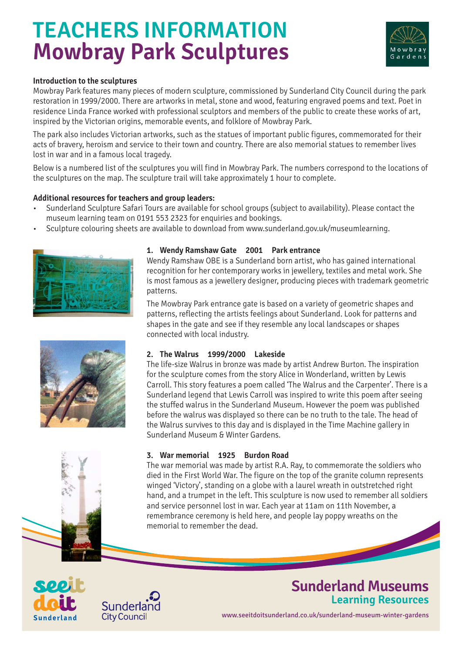## **TEACHERS INFORMATION Mowbray Park Sculptures**



#### **Introduction to the sculptures**

Mowbray Park features many pieces of modern sculpture, commissioned by Sunderland City Council during the park restoration in 1999/2000. There are artworks in metal, stone and wood, featuring engraved poems and text. Poet in residence Linda France worked with professional sculptors and members of the public to create these works of art, inspired by the Victorian origins, memorable events, and folklore of Mowbray Park.

The park also includes Victorian artworks, such as the statues of important public figures, commemorated for their acts of bravery, heroism and service to their town and country. There are also memorial statues to remember lives lost in war and in a famous local tragedy.

Below is a numbered list of the sculptures you will find in Mowbray Park. The numbers correspond to the locations of the sculptures on the map. The sculpture trail will take approximately 1 hour to complete.

#### **Additional resources for teachers and group leaders:**

- Sunderland Sculpture Safari Tours are available for school groups (subject to availability). Please contact the museum learning team on 0191 553 2323 for enquiries and bookings.
- Sculpture colouring sheets are available to download from www.sunderland.gov.uk/museumlearning.



#### **1. Wendy Ramshaw Gate 2001 Park entrance**

Wendy Ramshaw OBE is a Sunderland born artist, who has gained international recognition for her contemporary works in jewellery, textiles and metal work. She is most famous as a jewellery designer, producing pieces with trademark geometric patterns.

The Mowbray Park entrance gate is based on a variety of geometric shapes and patterns, reflecting the artists feelings about Sunderland. Look for patterns and shapes in the gate and see if they resemble any local landscapes or shapes connected with local industry.



#### **2. The Walrus 1999/2000 Lakeside**

The life-size Walrus in bronze was made by artist Andrew Burton. The inspiration for the sculpture comes from the story Alice in Wonderland, written by Lewis Carroll. This story features a poem called 'The Walrus and the Carpenter'. There is a Sunderland legend that Lewis Carroll was inspired to write this poem after seeing the stuffed walrus in the Sunderland Museum. However the poem was published before the walrus was displayed so there can be no truth to the tale. The head of the Walrus survives to this day and is displayed in the Time Machine gallery in Sunderland Museum & Winter Gardens.

#### **3. War memorial 1925 Burdon Road**

The war memorial was made by artist R.A. Ray, to commemorate the soldiers who died in the First World War. The figure on the top of the granite column represents winged 'Victory', standing on a globe with a laurel wreath in outstretched right hand, and a trumpet in the left. This sculpture is now used to remember all soldiers and service personnel lost in war. Each year at 11am on 11th November, a remembrance ceremony is held here, and people lay poppy wreaths on the memorial to remember the dead.





## **Sunderland Museums Learning Resources**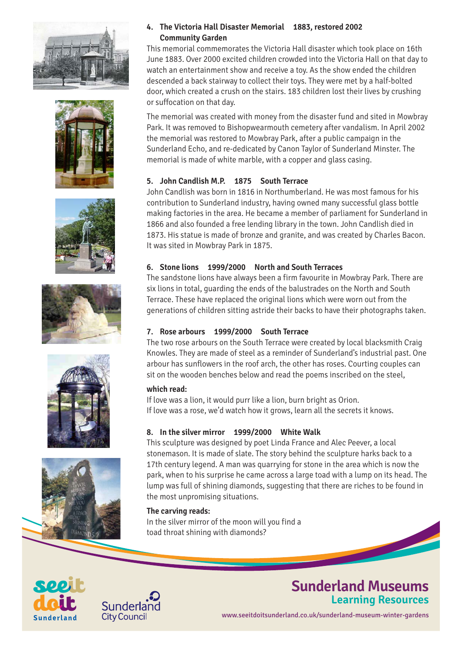











#### **4. The Victoria Hall Disaster Memorial 1883, restored 2002 Community Garden**

This memorial commemorates the Victoria Hall disaster which took place on 16th June 1883. Over 2000 excited children crowded into the Victoria Hall on that day to watch an entertainment show and receive a toy. As the show ended the children descended a back stairway to collect their toys. They were met by a half-bolted door, which created a crush on the stairs. 183 children lost their lives by crushing or suffocation on that day.

The memorial was created with money from the disaster fund and sited in Mowbray Park. It was removed to Bishopwearmouth cemetery after vandalism. In April 2002 the memorial was restored to Mowbray Park, after a public campaign in the Sunderland Echo, and re-dedicated by Canon Taylor of Sunderland Minster. The memorial is made of white marble, with a copper and glass casing.

#### **5. John Candlish M.P. 1875 South Terrace**

John Candlish was born in 1816 in Northumberland. He was most famous for his contribution to Sunderland industry, having owned many successful glass bottle making factories in the area. He became a member of parliament for Sunderland in 1866 and also founded a free lending library in the town. John Candlish died in 1873. His statue is made of bronze and granite, and was created by Charles Bacon. It was sited in Mowbray Park in 1875.

#### **6. Stone lions 1999/2000 North and South Terraces**

The sandstone lions have always been a firm favourite in Mowbray Park. There are six lions in total, guarding the ends of the balustrades on the North and South Terrace. These have replaced the original lions which were worn out from the generations of children sitting astride their backs to have their photographs taken.

#### **7. Rose arbours 1999/2000 South Terrace**

The two rose arbours on the South Terrace were created by local blacksmith Craig Knowles. They are made of steel as a reminder of Sunderland's industrial past. One arbour has sunflowers in the roof arch, the other has roses. Courting couples can sit on the wooden benches below and read the poems inscribed on the steel,

#### **which read:**

If love was a lion, it would purr like a lion, burn bright as Orion. If love was a rose, we'd watch how it grows, learn all the secrets it knows.

#### **8. In the silver mirror 1999/2000 White Walk**

This sculpture was designed by poet Linda France and Alec Peever, a local stonemason. It is made of slate. The story behind the sculpture harks back to a 17th century legend. A man was quarrying for stone in the area which is now the park, when to his surprise he came across a large toad with a lump on its head. The lump was full of shining diamonds, suggesting that there are riches to be found in the most unpromising situations.

#### **The carving reads:**

In the silver mirror of the moon will you find a toad throat shining with diamonds?





## **Sunderland Museums Learning Resources**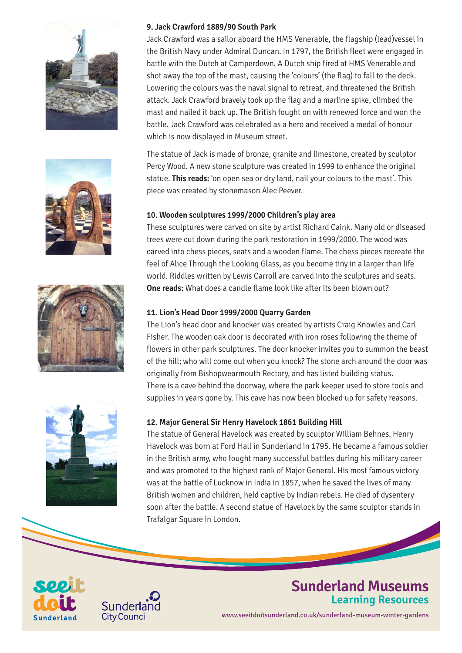







Jack Crawford was a sailor aboard the HMS Venerable, the flagship (lead)vessel in the British Navy under Admiral Duncan. In 1797, the British fleet were engaged in battle with the Dutch at Camperdown. A Dutch ship fired at HMS Venerable and shot away the top of the mast, causing the 'colours' (the flag) to fall to the deck. Lowering the colours was the naval signal to retreat, and threatened the British attack. Jack Crawford bravely took up the flag and a marline spike, climbed the mast and nailed it back up. The British fought on with renewed force and won the battle. Jack Crawford was celebrated as a hero and received a medal of honour which is now displayed in Museum street.

The statue of Jack is made of bronze, granite and limestone, created by sculptor Percy Wood. A new stone sculpture was created in 1999 to enhance the original statue. **This reads:** 'on open sea or dry land, nail your colours to the mast'. This piece was created by stonemason Alec Peever.

#### **10. Wooden sculptures 1999/2000 Children's play area**

These sculptures were carved on site by artist Richard Caink. Many old or diseased trees were cut down during the park restoration in 1999/2000. The wood was carved into chess pieces, seats and a wooden flame. The chess pieces recreate the feel of Alice Through the Looking Glass, as you become tiny in a larger than life world. Riddles written by Lewis Carroll are carved into the sculptures and seats. **One reads:** What does a candle flame look like after its been blown out?

#### **11. Lion's Head Door 1999/2000 Quarry Garden**

The Lion's head door and knocker was created by artists Craig Knowles and Carl Fisher. The wooden oak door is decorated with iron roses following the theme of flowers in other park sculptures. The door knocker invites you to summon the beast of the hill; who will come out when you knock? The stone arch around the door was originally from Bishopwearmouth Rectory, and has listed building status. There is a cave behind the doorway, where the park keeper used to store tools and supplies in years gone by. This cave has now been blocked up for safety reasons.



#### **12. Major General Sir Henry Havelock 1861 Building Hill**

The statue of General Havelock was created by sculptor William Behnes. Henry Havelock was born at Ford Hall in Sunderland in 1795. He became a famous soldier in the British army, who fought many successful battles during his military career and was promoted to the highest rank of Major General. His most famous victory was at the battle of Lucknow in India in 1857, when he saved the lives of many British women and children, held captive by Indian rebels. He died of dysentery soon after the battle. A second statue of Havelock by the same sculptor stands in Trafalgar Square in London.





### **Sunderland Museums Learning Resources**